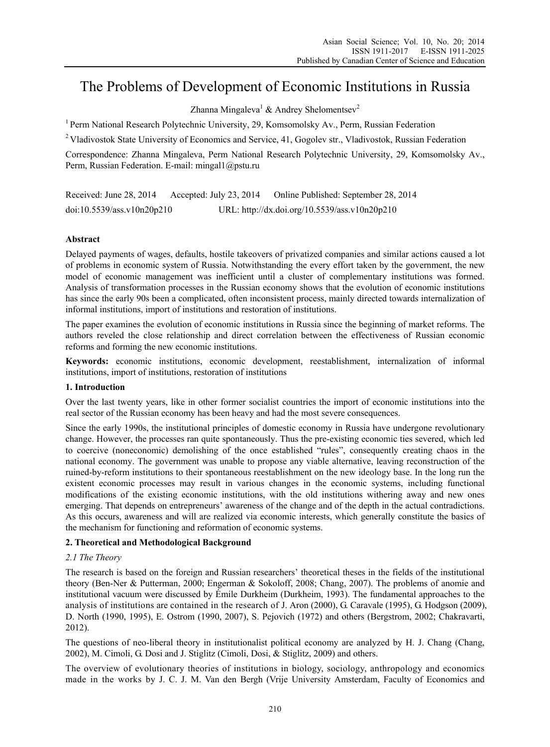# The Problems of Development of Economic Institutions in Russia

Zhanna Mingaleva<sup>1</sup> & Andrey Shelomentsev<sup>2</sup>

<sup>1</sup> Perm National Research Polytechnic University, 29, Komsomolsky Av., Perm, Russian Federation

<sup>2</sup> Vladivostok State University of Economics and Service, 41, Gogolev str., Vladivostok, Russian Federation

Correspondence: Zhanna Mingaleva, Perm National Research Polytechnic University, 29, Komsomolsky Av., Perm, Russian Federation. E-mail: mingal1@pstu.ru

Received: June 28, 2014 Accepted: July 23, 2014 Online Published: September 28, 2014 doi:10.5539/ass.v10n20p210 URL: http://dx.doi.org/10.5539/ass.v10n20p210

# **Abstract**

Delayed payments of wages, defaults, hostile takeovers of privatized companies and similar actions caused a lot of problems in economic system of Russia. Notwithstanding the every effort taken by the government, the new model of economic management was inefficient until a cluster of complementary institutions was formed. Analysis of transformation processes in the Russian economy shows that the evolution of economic institutions has since the early 90s been a complicated, often inconsistent process, mainly directed towards internalization of informal institutions, import of institutions and restoration of institutions.

The paper examines the evolution of economic institutions in Russia since the beginning of market reforms. The authors reveled the close relationship and direct correlation between the effectiveness of Russian economic reforms and forming the new economic institutions.

**Keywords:** economic institutions, economic development, reestablishment, internalization of informal institutions, import of institutions, restoration of institutions

## **1. Introduction**

Over the last twenty years, like in other former socialist countries the import of economic institutions into the real sector of the Russian economy has been heavy and had the most severe consequences.

Since the early 1990s, the institutional principles of domestic economy in Russia have undergone revolutionary change. However, the processes ran quite spontaneously. Thus the pre-existing economic ties severed, which led to coercive (noneconomic) demolishing of the once established "rules", consequently creating chaos in the national economy. The government was unable to propose any viable alternative, leaving reconstruction of the ruined-by-reform institutions to their spontaneous reestablishment on the new ideology base. In the long run the existent economic processes may result in various changes in the economic systems, including functional modifications of the existing economic institutions, with the old institutions withering away and new ones emerging. That depends on entrepreneurs' awareness of the change and of the depth in the actual contradictions. As this occurs, awareness and will are realized via economic interests, which generally constitute the basics of the mechanism for functioning and reformation of economic systems.

# **2. Theoretical and Methodological Background**

## *2.1 The Theory*

The research is based on the foreign and Russian researchers' theoretical theses in the fields of the institutional theory (Ben-Ner & Putterman, 2000; Engerman & Sokoloff, 2008; Chang, 2007). The problems of anomie and institutional vacuum were discussed by Émile Durkheim (Durkheim, 1993). The fundamental approaches to the analysis of institutions are contained in the research of J. Aron (2000), G. Caravale (1995), G. Hodgson (2009), D. North (1990, 1995), E. Ostrom (1990, 2007), S. Pejovich (1972) and others (Bergstrom, 2002; Chakravarti, 2012).

The questions of neo-liberal theory in institutionalist political economy are analyzed by H. J. Chang (Chang, 2002), M. Cimoli, G. Dosi and J. Stiglitz (Cimoli, Dosi, & Stiglitz, 2009) and others.

The overview of evolutionary theories of institutions in biology, sociology, anthropology and economics made in the works by J. C. J. M. Van den Bergh (Vrije University Amsterdam, Faculty of Economics and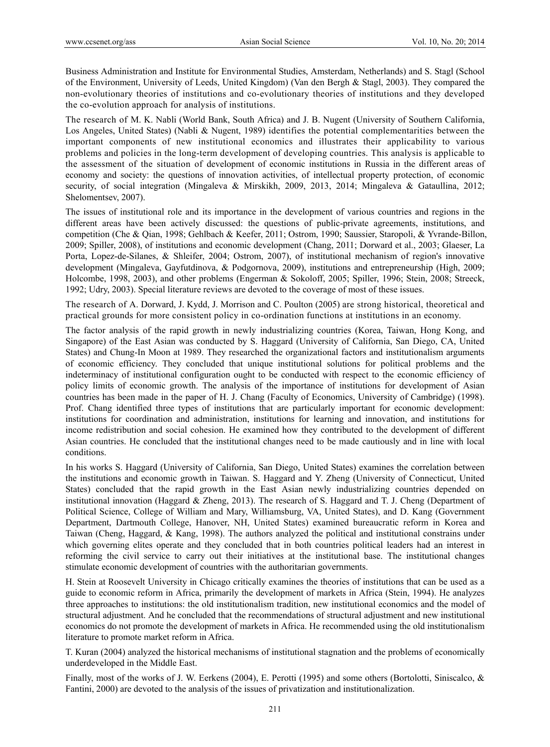Business Administration and Institute for Environmental Studies, Amsterdam, Netherlands) and S. Stagl (School of the Environment, University of Leeds, United Kingdom) (Van den Bergh & Stagl, 2003). They compared the non-evolutionary theories of institutions and co-evolutionary theories of institutions and they developed the co-evolution approach for analysis of institutions.

The research of M. K. Nabli (World Bank, South Africa) and J. B. Nugent (University of Southern California, Los Angeles, United States) (Nabli & Nugent, 1989) identifies the potential complementarities between the important components of new institutional economics and illustrates their applicability to various problems and policies in the long-term development of developing countries. This analysis is applicable to the assessment of the situation of development of economic institutions in Russia in the different areas of economy and society: the questions of innovation activities, of intellectual property protection, of economic security, of social integration (Mingaleva & Mirskikh, 2009, 2013, 2014; Mingaleva & Gataullina, 2012; Shelomentsev, 2007).

The issues of institutional role and its importance in the development of various countries and regions in the different areas have been actively discussed: the questions of public-private agreements, institutions, and competition (Che & Qian, 1998; Gehlbach & Keefer, 2011; Ostrom, 1990; Saussier, Staropoli, & Yvrande-Billon, 2009; Spiller, 2008), of institutions and economic development (Chang, 2011; Dorward et al., 2003; Glaeser, La Porta, Lopez-de-Silanes, & Shleifer, 2004; Ostrom, 2007), of institutional mechanism of region's innovative development (Mingaleva, Gayfutdinova, & Podgornova, 2009), institutions and entrepreneurship (High, 2009; Holcombe, 1998, 2003), and other problems (Engerman & Sokoloff, 2005; Spiller, 1996; Stein, 2008; Streeck, 1992; Udry, 2003). Special literature reviews are devoted to the coverage of most of these issues.

The research of A. Dorward, J. Kydd, J. Morrison and C. Poulton (2005) are strong historical, theoretical and practical grounds for more consistent policy in co-ordination functions at institutions in an economy.

The factor analysis of the rapid growth in newly industrializing countries (Korea, Taiwan, Hong Kong, and Singapore) of the East Asian was conducted by S. Haggard (University of California, San Diego, CA, United States) and Chung-In Moon at 1989. They researched the organizational factors and institutionalism arguments of economic efficiency. They concluded that unique institutional solutions for political problems and the indeterminacy of institutional configuration ought to be conducted with respect to the economic efficiency of policy limits of economic growth. The analysis of the importance of institutions for development of Asian countries has been made in the paper of H. J. Chang (Faculty of Economics, University of Cambridge) (1998). Prof. Chang identified three types of institutions that are particularly important for economic development: institutions for coordination and administration, institutions for learning and innovation, and institutions for income redistribution and social cohesion. He examined how they contributed to the development of different Asian countries. He concluded that the institutional changes need to be made cautiously and in line with local conditions.

In his works S. Haggard (University of California, San Diego, United States) examines the correlation between the institutions and economic growth in Taiwan. S. Haggard and Y. Zheng (University of Connecticut, United States) concluded that the rapid growth in the East Asian newly industrializing countries depended on institutional innovation (Haggard & Zheng, 2013). The research of S. Haggard and T. J. Cheng (Department of Political Science, College of William and Mary, Williamsburg, VA, United States), and D. Kang (Government Department, Dartmouth College, Hanover, NH, United States) examined bureaucratic reform in Korea and Taiwan (Cheng, Haggard, & Kang, 1998). The authors analyzed the political and institutional constrains under which governing elites operate and they concluded that in both countries political leaders had an interest in reforming the civil service to carry out their initiatives at the institutional base. The institutional changes stimulate economic development of countries with the authoritarian governments.

H. Stein at Roosevelt University in Chicago critically examines the theories of institutions that can be used as a guide to economic reform in Africa, primarily the development of markets in Africa (Stein, 1994). He analyzes three approaches to institutions: the old institutionalism tradition, new institutional economics and the model of structural adjustment. And he concluded that the recommendations of structural adjustment and new institutional economics do not promote the development of markets in Africa. He recommended using the old institutionalism literature to promote market reform in Africa.

T. Kuran (2004) analyzed the historical mechanisms of institutional stagnation and the problems of economically underdeveloped in the Middle East.

Finally, most of the works of J. W. Eerkens (2004), E. Perotti (1995) and some others (Bortolotti, Siniscalco, & Fantini, 2000) are devoted to the analysis of the issues of privatization and institutionalization.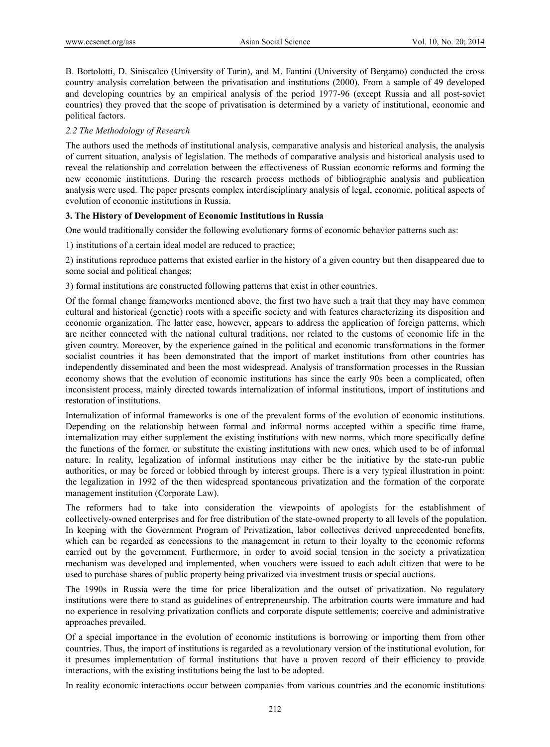B. Bortolotti, D. Siniscalco (University of Turin), and M. Fantini (University of Bergamo) conducted the cross country analysis correlation between the privatisation and institutions (2000). From a sample of 49 developed and developing countries by an empirical analysis of the period 1977-96 (except Russia and all post-soviet countries) they proved that the scope of privatisation is determined by a variety of institutional, economic and political factors.

## *2.2 The Methodology of Research*

The authors used the methods of institutional analysis, comparative analysis and historical analysis, the analysis of current situation, analysis of legislation. The methods of comparative analysis and historical analysis used to reveal the relationship and correlation between the effectiveness of Russian economic reforms and forming the new economic institutions. During the research process methods of bibliographic analysis and publication analysis were used. The paper presents complex interdisciplinary analysis of legal, economic, political aspects of evolution of economic institutions in Russia.

#### **3. The History of Development of Economic Institutions in Russia**

One would traditionally consider the following evolutionary forms of economic behavior patterns such as:

1) institutions of a certain ideal model are reduced to practice;

2) institutions reproduce patterns that existed earlier in the history of a given country but then disappeared due to some social and political changes;

3) formal institutions are constructed following patterns that exist in other countries.

Of the formal change frameworks mentioned above, the first two have such a trait that they may have common cultural and historical (genetic) roots with a specific society and with features characterizing its disposition and economic organization. The latter case, however, appears to address the application of foreign patterns, which are neither connected with the national cultural traditions, nor related to the customs of economic life in the given country. Moreover, by the experience gained in the political and economic transformations in the former socialist countries it has been demonstrated that the import of market institutions from other countries has independently disseminated and been the most widespread. Analysis of transformation processes in the Russian economy shows that the evolution of economic institutions has since the early 90s been a complicated, often inconsistent process, mainly directed towards internalization of informal institutions, import of institutions and restoration of institutions.

Internalization of informal frameworks is one of the prevalent forms of the evolution of economic institutions. Depending on the relationship between formal and informal norms accepted within a specific time frame, internalization may either supplement the existing institutions with new norms, which more specifically define the functions of the former, or substitute the existing institutions with new ones, which used to be of informal nature. In reality, legalization of informal institutions may either be the initiative by the state-run public authorities, or may be forced or lobbied through by interest groups. There is a very typical illustration in point: the legalization in 1992 of the then widespread spontaneous privatization and the formation of the corporate management institution (Corporate Law).

The reformers had to take into consideration the viewpoints of apologists for the establishment of collectively-owned enterprises and for free distribution of the state-owned property to all levels of the population. In keeping with the Government Program of Privatization, labor collectives derived unprecedented benefits, which can be regarded as concessions to the management in return to their loyalty to the economic reforms carried out by the government. Furthermore, in order to avoid social tension in the society a privatization mechanism was developed and implemented, when vouchers were issued to each adult citizen that were to be used to purchase shares of public property being privatized via investment trusts or special auctions.

The 1990s in Russia were the time for price liberalization and the outset of privatization. No regulatory institutions were there to stand as guidelines of entrepreneurship. The arbitration courts were immature and had no experience in resolving privatization conflicts and corporate dispute settlements; coercive and administrative approaches prevailed.

Of a special importance in the evolution of economic institutions is borrowing or importing them from other countries. Thus, the import of institutions is regarded as a revolutionary version of the institutional evolution, for it presumes implementation of formal institutions that have a proven record of their efficiency to provide interactions, with the existing institutions being the last to be adopted.

In reality economic interactions occur between companies from various countries and the economic institutions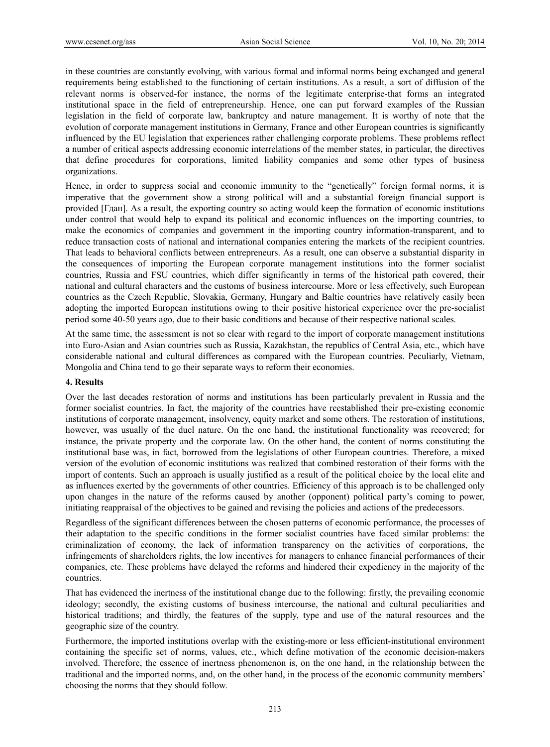in these countries are constantly evolving, with various formal and informal norms being exchanged and general requirements being established to the functioning of certain institutions. As a result, a sort of diffusion of the relevant norms is observed-for instance, the norms of the legitimate enterprise-that forms an integrated institutional space in the field of entrepreneurship. Hence, one can put forward examples of the Russian legislation in the field of corporate law, bankruptcy and nature management. It is worthy of note that the evolution of corporate management institutions in Germany, France and other European countries is significantly influenced by the EU legislation that experiences rather challenging corporate problems. These problems reflect a number of critical aspects addressing economic interrelations of the member states, in particular, the directives that define procedures for corporations, limited liability companies and some other types of business organizations.

Hence, in order to suppress social and economic immunity to the "genetically" foreign formal norms, it is imperative that the government show a strong political will and a substantial foreign financial support is provided [Гдан]. As a result, the exporting country so acting would keep the formation of economic institutions under control that would help to expand its political and economic influences on the importing countries, to make the economics of companies and government in the importing country information-transparent, and to reduce transaction costs of national and international companies entering the markets of the recipient countries. That leads to behavioral conflicts between entrepreneurs. As a result, one can observe a substantial disparity in the consequences of importing the European corporate management institutions into the former socialist countries, Russia and FSU countries, which differ significantly in terms of the historical path covered, their national and cultural characters and the customs of business intercourse. More or less effectively, such European countries as the Czech Republic, Slovakia, Germany, Hungary and Baltic countries have relatively easily been adopting the imported European institutions owing to their positive historical experience over the pre-socialist period some 40-50 years ago, due to their basic conditions and because of their respective national scales.

At the same time, the assessment is not so clear with regard to the import of corporate management institutions into Euro-Asian and Asian countries such as Russia, Kazakhstan, the republics of Central Asia, etc., which have considerable national and cultural differences as compared with the European countries. Peculiarly, Vietnam, Mongolia and China tend to go their separate ways to reform their economies.

## **4. Results**

Over the last decades restoration of norms and institutions has been particularly prevalent in Russia and the former socialist countries. In fact, the majority of the countries have reestablished their pre-existing economic institutions of corporate management, insolvency, equity market and some others. The restoration of institutions, however, was usually of the duel nature. On the one hand, the institutional functionality was recovered; for instance, the private property and the corporate law. On the other hand, the content of norms constituting the institutional base was, in fact, borrowed from the legislations of other European countries. Therefore, a mixed version of the evolution of economic institutions was realized that combined restoration of their forms with the import of contents. Such an approach is usually justified as a result of the political choice by the local elite and as influences exerted by the governments of other countries. Efficiency of this approach is to be challenged only upon changes in the nature of the reforms caused by another (opponent) political party's coming to power, initiating reappraisal of the objectives to be gained and revising the policies and actions of the predecessors.

Regardless of the significant differences between the chosen patterns of economic performance, the processes of their adaptation to the specific conditions in the former socialist countries have faced similar problems: the criminalization of economy, the lack of information transparency on the activities of corporations, the infringements of shareholders rights, the low incentives for managers to enhance financial performances of their companies, etc. These problems have delayed the reforms and hindered their expediency in the majority of the countries.

That has evidenced the inertness of the institutional change due to the following: firstly, the prevailing economic ideology; secondly, the existing customs of business intercourse, the national and cultural peculiarities and historical traditions; and thirdly, the features of the supply, type and use of the natural resources and the geographic size of the country.

Furthermore, the imported institutions overlap with the existing-more or less efficient-institutional environment containing the specific set of norms, values, etc., which define motivation of the economic decision-makers involved. Therefore, the essence of inertness phenomenon is, on the one hand, in the relationship between the traditional and the imported norms, and, on the other hand, in the process of the economic community members' choosing the norms that they should follow.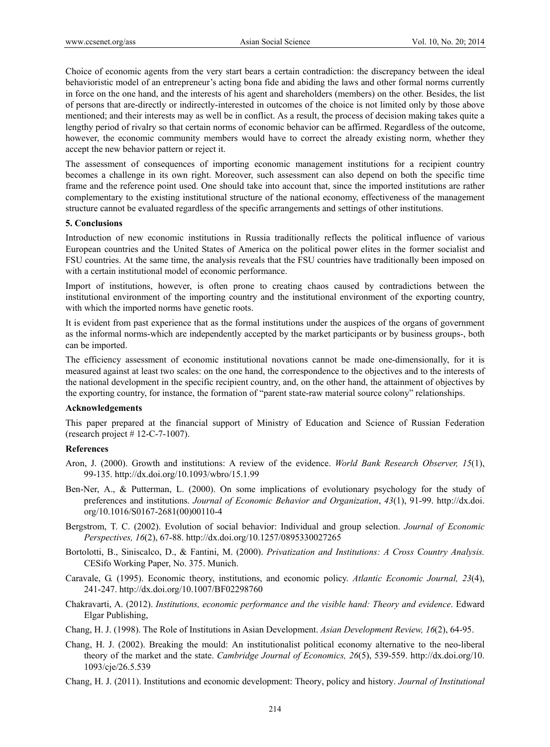Choice of economic agents from the very start bears a certain contradiction: the discrepancy between the ideal behavioristic model of an entrepreneur's acting bona fide and abiding the laws and other formal norms currently in force on the one hand, and the interests of his agent and shareholders (members) on the other. Besides, the list of persons that are-directly or indirectly-interested in outcomes of the choice is not limited only by those above mentioned; and their interests may as well be in conflict. As a result, the process of decision making takes quite a lengthy period of rivalry so that certain norms of economic behavior can be affirmed. Regardless of the outcome, however, the economic community members would have to correct the already existing norm, whether they accept the new behavior pattern or reject it.

The assessment of consequences of importing economic management institutions for a recipient country becomes a challenge in its own right. Moreover, such assessment can also depend on both the specific time frame and the reference point used. One should take into account that, since the imported institutions are rather complementary to the existing institutional structure of the national economy, effectiveness of the management structure cannot be evaluated regardless of the specific arrangements and settings of other institutions.

#### **5. Conclusions**

Introduction of new economic institutions in Russia traditionally reflects the political influence of various European countries and the United States of America on the political power elites in the former socialist and FSU countries. At the same time, the analysis reveals that the FSU countries have traditionally been imposed on with a certain institutional model of economic performance.

Import of institutions, however, is often prone to creating chaos caused by contradictions between the institutional environment of the importing country and the institutional environment of the exporting country, with which the imported norms have genetic roots.

It is evident from past experience that as the formal institutions under the auspices of the organs of government as the informal norms-which are independently accepted by the market participants or by business groups-, both can be imported.

The efficiency assessment of economic institutional novations cannot be made one-dimensionally, for it is measured against at least two scales: on the one hand, the correspondence to the objectives and to the interests of the national development in the specific recipient country, and, on the other hand, the attainment of objectives by the exporting country, for instance, the formation of "parent state-raw material source colony" relationships.

#### **Acknowledgements**

This paper prepared at the financial support of Ministry of Education and Science of Russian Federation (research project # 12-С-7-1007).

## **References**

- Aron, J. (2000). Growth and institutions: A review of the evidence. *World Bank Research Observer, 15*(1), 99-135. http://dx.doi.org/10.1093/wbro/15.1.99
- Ben-Ner, A., & Putterman, L. (2000). On some implications of evolutionary psychology for the study of preferences and institutions. *Journal of Economic Behavior and Organization*, *43*(1), 91-99. http://dx.doi. org/10.1016/S0167-2681(00)00110-4
- Bergstrom, T. C. (2002). Evolution of social behavior: Individual and group selection. *Journal of Economic Perspectives, 16*(2), 67-88. http://dx.doi.org/10.1257/0895330027265
- Bortolotti, B., Siniscalco, D., & Fantini, M. (2000). *Privatization and Institutions: A Cross Country Analysis.*  CESifo Working Paper, No. 375. Munich.
- Caravale, G. (1995). Economic theory, institutions, and economic policy. *Atlantic Economic Journal, 23*(4), 241-247. http://dx.doi.org/10.1007/BF02298760
- Chakravarti, A. (2012). *Institutions, economic performance and the visible hand: Theory and evidence*. Edward Elgar Publishing,
- Chang, H. J. (1998). The Role of Institutions in Asian Development. *Asian Development Review, 16*(2), 64-95.
- Chang, H. J. (2002). Breaking the mould: An institutionalist political economy alternative to the neo-liberal theory of the market and the state. *Cambridge Journal of Economics, 26*(5), 539-559. http://dx.doi.org/10. 1093/cje/26.5.539
- Chang, H. J. (2011). Institutions and economic development: Theory, policy and history. *Journal of Institutional*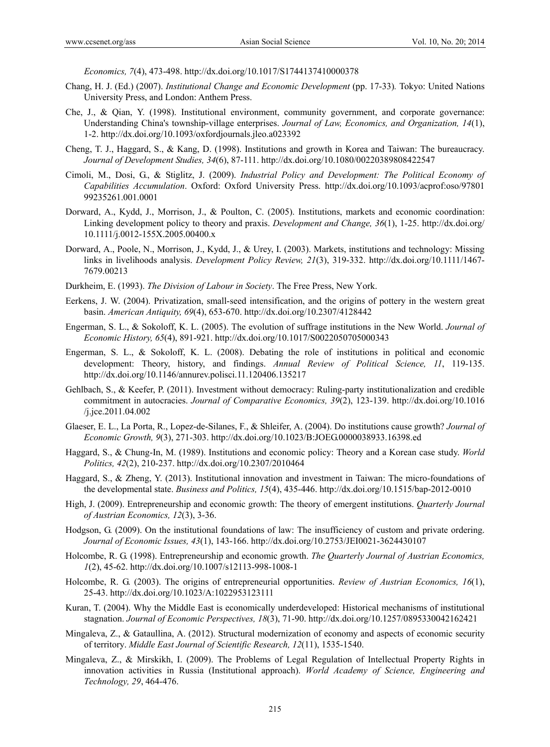*Economics, 7*(4), 473-498. http://dx.doi.org/10.1017/S1744137410000378

- Chang, H. J. (Ed.) (2007). *Institutional Change and Economic Development* (pp. 17-33)*.* Tokyo: United Nations University Press, and London: Anthem Press.
- Che, J., & Qian, Y. (1998). Institutional environment, community government, and corporate governance: Understanding China's township-village enterprises. *Journal of Law, Economics, and Organization, 14*(1), 1-2. http://dx.doi.org/10.1093/oxfordjournals.jleo.a023392
- Cheng, T. J., Haggard, S., & Kang, D. (1998). Institutions and growth in Korea and Taiwan: The bureaucracy. *Journal of Development Studies, 34*(6), 87-111. http://dx.doi.org/10.1080/00220389808422547
- Cimoli, M., Dosi, G., & Stiglitz, J. (2009). *Industrial Policy and Development: The Political Economy of Capabilities Accumulation*. Oxford: Oxford University Press. http://dx.doi.org/10.1093/acprof:oso/97801 99235261.001.0001
- Dorward, A., Kydd, J., Morrison, J., & Poulton, C. (2005). Institutions, markets and economic coordination: Linking development policy to theory and praxis. *Development and Change, 36*(1), 1-25. http://dx.doi.org/ 10.1111/j.0012-155X.2005.00400.x
- Dorward, A., Poole, N., Morrison, J., Kydd, J., & Urey, I. (2003). Markets, institutions and technology: Missing links in livelihoods analysis. *Development Policy Review, 21*(3), 319-332. http://dx.doi.org/10.1111/1467- 7679.00213
- Durkheim, E. (1993). *The Division of Labour in Society*. The Free Press, New York.
- Eerkens, J. W. (2004). Privatization, small-seed intensification, and the origins of pottery in the western great basin. *American Antiquity, 69*(4), 653-670. http://dx.doi.org/10.2307/4128442
- Engerman, S. L., & Sokoloff, K. L. (2005). The evolution of suffrage institutions in the New World. *Journal of Economic History, 65*(4), 891-921. http://dx.doi.org/10.1017/S0022050705000343
- Engerman, S. L., & Sokoloff, K. L. (2008). Debating the role of institutions in political and economic development: Theory, history, and findings. *Annual Review of Political Science, 11*, 119-135. http://dx.doi.org/10.1146/annurev.polisci.11.120406.135217
- Gehlbach, S., & Keefer, P. (2011). Investment without democracy: Ruling-party institutionalization and credible commitment in autocracies. *Journal of Comparative Economics, 39*(2), 123-139. http://dx.doi.org/10.1016 /j.jce.2011.04.002
- Glaeser, E. L., La Porta, R., Lopez-de-Silanes, F., & Shleifer, A. (2004). Do institutions cause growth? *Journal of Economic Growth, 9*(3), 271-303. http://dx.doi.org/10.1023/B:JOEG.0000038933.16398.ed
- Haggard, S., & Chung-In, M. (1989). Institutions and economic policy: Theory and a Korean case study. *World Politics, 42*(2), 210-237. http://dx.doi.org/10.2307/2010464
- Haggard, S., & Zheng, Y. (2013). Institutional innovation and investment in Taiwan: The micro-foundations of the developmental state. *Business and Politics, 15*(4), 435-446. http://dx.doi.org/10.1515/bap-2012-0010
- High, J. (2009). Entrepreneurship and economic growth: The theory of emergent institutions. *Quarterly Journal of Austrian Economics, 12*(3), 3-36.
- Hodgson, G. (2009). On the institutional foundations of law: The insufficiency of custom and private ordering. *Journal of Economic Issues, 43*(1), 143-166. http://dx.doi.org/10.2753/JEI0021-3624430107
- Holcombe, R. G. (1998). Entrepreneurship and economic growth. *The Quarterly Journal of Austrian Economics, 1*(2), 45-62. http://dx.doi.org/10.1007/s12113-998-1008-1
- Holcombe, R. G. (2003). The origins of entrepreneurial opportunities. *Review of Austrian Economics, 16*(1), 25-43. http://dx.doi.org/10.1023/A:1022953123111
- Kuran, T. (2004). Why the Middle East is economically underdeveloped: Historical mechanisms of institutional stagnation. *Journal of Economic Perspectives, 18*(3), 71-90. http://dx.doi.org/10.1257/0895330042162421
- Mingaleva, Z., & Gataullina, A. (2012). Structural modernization of economy and aspects of economic security of territory. *Middle East Journal of Scientific Research, 12*(11), 1535-1540.
- Mingaleva, Z., & Mirskikh, I. (2009). The Problems of Legal Regulation of Intellectual Property Rights in innovation activities in Russia (Institutional approach). *World Academy of Science, Engineering and Technology, 29*, 464-476.